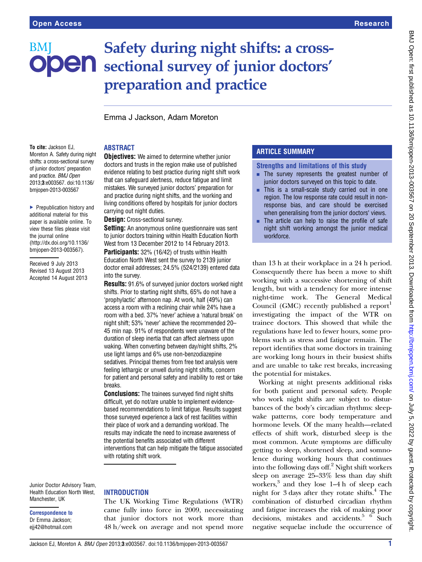## Safety during night shifts: a cross-BM **ODEN** sectional survey of junior doctors' preparation and practice

Emma J Jackson, Adam Moreton

#### To cite: Jackson EJ, Moreton A. Safety during night shifts: a cross-sectional survey of junior doctors' preparation and practice. BMJ Open 2013;3:e003567. doi:10.1136/ bmjopen-2013-003567

▶ Prepublication history and additional material for this paper is available online. To view these files please visit the journal online [\(http://dx.doi.org/10.1136/](http://dx.doi.org/10.1136/bmjopen-2013-003567) [bmjopen-2013-003567](http://dx.doi.org/10.1136/bmjopen-2013-003567)).

Received 9 July 2013 Revised 13 August 2013 Accepted 14 August 2013 **Objectives:** We aimed to determine whether junior doctors and trusts in the region make use of published evidence relating to best practice during night shift work that can safeguard alertness, reduce fatigue and limit mistakes. We surveyed junior doctors' preparation for and practice during night shifts, and the working and living conditions offered by hospitals for junior doctors carrying out night duties.

Design: Cross-sectional survey.

ABSTRACT

**Setting:** An anonymous online questionnaire was sent to junior doctors training within Health Education North West from 13 December 2012 to 14 February 2013. **Participants:** 32% (16/42) of trusts within Health Education North West sent the survey to 2139 junior doctor email addresses; 24.5% (524/2139) entered data into the survey.

Results: 91.6% of surveyed junior doctors worked night shifts. Prior to starting night shifts, 65% do not have a 'prophylactic' afternoon nap. At work, half (49%) can access a room with a reclining chair while 24% have a room with a bed. 37% 'never' achieve a 'natural break' on night shift; 53% 'never' achieve the recommended 20– 45 min nap. 91% of respondents were unaware of the duration of sleep inertia that can affect alertness upon waking. When converting between day/night shifts, 2% use light lamps and 6% use non-benzodiazepine sedatives. Principal themes from free text analysis were feeling lethargic or unwell during night shifts, concern for patient and personal safety and inability to rest or take breaks.

**Conclusions:** The trainees surveyed find night shifts difficult, yet do not/are unable to implement evidencebased recommendations to limit fatigue. Results suggest those surveyed experience a lack of rest facilities within their place of work and a demanding workload. The results may indicate the need to increase awareness of the potential benefits associated with different interventions that can help mitigate the fatigue associated with rotating shift work.

Junior Doctor Advisory Team, Health Education North West, Manchester, UK

Correspondence to Dr Emma Jackson; ejj42@hotmail.com

## **INTRODUCTION**

The UK Working Time Regulations (WTR) came fully into force in 2009, necessitating that junior doctors not work more than 48 h/week on average and not spend more

## ARTICLE SUMMARY

Strengths and limitations of this study

- **EXECUTE:** The survey represents the greatest number of junior doctors surveyed on this topic to date.
- $\blacksquare$  This is a small-scale study carried out in one region. The low response rate could result in nonresponse bias, and care should be exercised when generalising from the junior doctors' views.
- The article can help to raise the profile of safe night shift working amongst the junior medical workforce.

than 13 h at their workplace in a 24 h period. Consequently there has been a move to shift working with a successive shortening of shift length, but with a tendency for more intense night-time work. The General Medical Council (GMC) recently published a report<sup>1</sup> investigating the impact of the WTR on trainee doctors. This showed that while the regulations have led to fewer hours, some problems such as stress and fatigue remain. The report identifies that some doctors in training are working long hours in their busiest shifts and are unable to take rest breaks, increasing the potential for mistakes.

Working at night presents additional risks for both patient and personal safety. People who work night shifts are subject to disturbances of the body's circadian rhythms: sleepwake patterns, core body temperature and hormone levels. Of the many health—related effects of shift work, disturbed sleep is the most common. Acute symptoms are difficulty getting to sleep, shortened sleep, and somnolence during working hours that continues into the following days off.2 Night shift workers sleep on average 25–33% less than day shift workers,<sup>3</sup> and they lose 1–4 h of sleep each night for  $3$  days after they rotate shifts. $4$  The combination of disturbed circadian rhythm and fatigue increases the risk of making poor decisions, mistakes and accidents.<sup>5 6</sup> Such negative sequelae include the occurrence of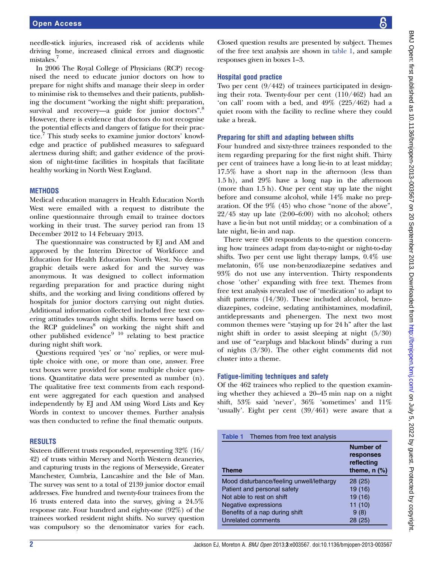needle-stick injuries, increased risk of accidents while driving home, increased clinical errors and diagnostic mistakes.7

In 2006 The Royal College of Physicians (RCP) recognised the need to educate junior doctors on how to prepare for night shifts and manage their sleep in order to minimise risk to themselves and their patients, publishing the document "working the night shift: preparation, survival and recovery-a guide for junior doctors".<sup>8</sup> However, there is evidence that doctors do not recognise the potential effects and dangers of fatigue for their practice.<sup>7</sup> This study seeks to examine junior doctors' knowledge and practice of published measures to safeguard alertness during shift; and gather evidence of the provision of night-time facilities in hospitals that facilitate healthy working in North West England.

## **METHODS**

Medical education managers in Health Education North West were emailed with a request to distribute the online questionnaire through email to trainee doctors working in their trust. The survey period ran from 13 December 2012 to 14 February 2013.

The questionnaire was constructed by EJ and AM and approved by the Interim Director of Workforce and Education for Health Education North West. No demographic details were asked for and the survey was anonymous. It was designed to collect information regarding preparation for and practice during night shifts, and the working and living conditions offered by hospitals for junior doctors carrying out night duties. Additional information collected included free text covering attitudes towards night shifts. Items were based on the RCP guidelines<sup>8</sup> on working the night shift and other published evidence $9^{10}$  relating to best practice during night shift work.

Questions required 'yes' or 'no' replies, or were multiple choice with one, or more than one, answer. Free text boxes were provided for some multiple choice questions. Quantitative data were presented as number (n). The qualitative free text comments from each respondent were aggregated for each question and analysed independently by EJ and AM using Word Lists and Key Words in context to uncover themes. Further analysis was then conducted to refine the final thematic outputs.

#### **RESULTS**

Sixteen different trusts responded, representing 32% (16/ 42) of trusts within Mersey and North Western deaneries, and capturing trusts in the regions of Merseyside, Greater Manchester, Cumbria, Lancashire and the Isle of Man. The survey was sent to a total of 2139 junior doctor email addresses. Five hundred and twenty-four trainees from the 16 trusts entered data into the survey, giving a 24.5% response rate. Four hundred and eighty-one (92%) of the trainees worked resident night shifts. No survey question was compulsory so the denominator varies for each.

Closed question results are presented by subject. Themes of the free text analysis are shown in table 1, and sample responses given in boxes 1–3.

#### Hospital good practice

Two per cent (9/442) of trainees participated in designing their rota. Twenty-four per cent (110/462) had an 'on call' room with a bed, and 49% (225/462) had a quiet room with the facility to recline where they could take a break.

#### Preparing for shift and adapting between shifts

Four hundred and sixty-three trainees responded to the item regarding preparing for the first night shift. Thirty per cent of trainees have a long lie-in to at least midday; 17.5% have a short nap in the afternoon (less than 1.5 h), and 29% have a long nap in the afternoon (more than 1.5 h). One per cent stay up late the night before and consume alcohol, while 14% make no preparation. Of the 9% (45) who chose "none of the above",  $22/45$  stay up late  $(2:00-6:00)$  with no alcohol; others have a lie-in but not until midday; or a combination of a late night, lie-in and nap.

There were 450 respondents to the question concerning how trainees adapt from day-to-night or night-to-day shifts. Two per cent use light therapy lamps, 0.4% use melatonin, 6% use non-benzodiazepine sedatives and 93% do not use any intervention. Thirty respondents chose 'other' expanding with free text. Themes from free text analysis revealed use of 'medication' to adapt to shift patterns (14/30). These included alcohol, benzodiazepines, codeine, sedating antihistamines, modafinil, antidepressants and phenergen. The next two most common themes were "staying up for 24 h" after the last night shift in order to assist sleeping at night (5/30) and use of "earplugs and blackout blinds" during a run of nights (3/30). The other eight comments did not cluster into a theme.

#### Fatigue-limiting techniques and safety

Of the 462 trainees who replied to the question examining whether they achieved a 20–45 min nap on a night shift, 53% said 'never', 36% 'sometimes' and 11% 'usually'. Eight per cent (39/461) were aware that a

| <b>Table 1</b> Themes from free text analysis |                                                                  |
|-----------------------------------------------|------------------------------------------------------------------|
| <b>Theme</b>                                  | <b>Number of</b><br>responses<br>reflecting<br>theme, $n$ $(\%)$ |
| Mood disturbance/feeling unwell/lethargy      | 28(25)                                                           |
| Patient and personal safety                   | 19 (16)                                                          |
| Not able to rest on shift                     | 19 (16)                                                          |
| Negative expressions                          | 11(10)                                                           |
| Benefits of a nap during shift                | 9(8)                                                             |
| Unrelated comments                            | 28 (25)                                                          |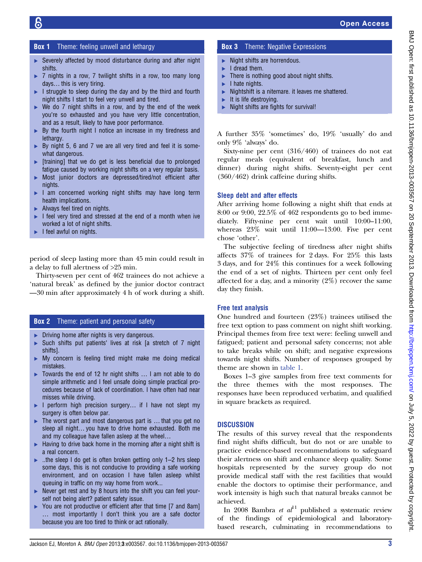## **Box 1** Theme: feeling unwell and lethargy

- ▶ Severely affected by mood disturbance during and after night shifts.
- ▶ 7 nights in a row, 7 twilight shifts in a row, too many long days… this is very tiring.
- $\blacktriangleright$  I struggle to sleep during the day and by the third and fourth night shifts I start to feel very unwell and tired.
- $\triangleright$  We do 7 night shifts in a row, and by the end of the week you're so exhausted and you have very little concentration, and as a result, likely to have poor performance.
- ▶ By the fourth night I notice an increase in my tiredness and lethargy.
- ► By night 5, 6 and 7 we are all very tired and feel it is somewhat dangerous.
- ▸ [training] that we do get is less beneficial due to prolonged fatigue caused by working night shifts on a very regular basis.
- ▸ Most junior doctors are depressed/tired/not efficient after nights.
- ▶ I am concerned working night shifts may have long term health implications.
- ▶ Always feel tired on nights.
- ▸ I feel very tired and stressed at the end of a month when ive worked a lot of night shifts.
- ▸ I feel awful on nights.

period of sleep lasting more than 45 min could result in a delay to full alertness of >25 min.

Thirty-seven per cent of 462 trainees do not achieve a 'natural break' as defined by the junior doctor contract —30 min after approximately 4 h of work during a shift.

## **Box 2** Theme: patient and personal safety

- ▶ Driving home after nights is very dangerous.
- ▸ Such shifts put patients' lives at risk [a stretch of 7 night shifts].
- ▸ My concern is feeling tired might make me doing medical mistakes.
- ▸ Towards the end of 12 hr night shifts … I am not able to do simple arithmetic and I feel unsafe doing simple practical procedures because of lack of coordination. I have often had near misses while driving.
- ▶ I perform high precision surgery... if I have not slept my surgery is often below par.
- ▸ The worst part and most dangerous part is … that you get no sleep all night… you have to drive home exhausted. Both me and my colleague have fallen asleep at the wheel…
- $\blacktriangleright$  Having to drive back home in the morning after a night shift is a real concern.
- ▸ ..the sleep I do get is often broken getting only 1–2 hrs sleep some days, this is not conducive to providing a safe working environment, and on occasion I have fallen asleep whilst queuing in traffic on my way home from work...
- ▸ Never get rest and by 8 hours into the shift you can feel yourself not being alert? patient safety issue.
- You are not productive or efficient after that time [7 and 8am] … most importantly I don't think you are a safe doctor because you are too tired to think or act rationally.

## **Box 3** Theme: Negative Expressions

- $\blacktriangleright$  Night shifts are horrendous.
- ▶ I dread them.
- $\blacktriangleright$  There is nothing good about night shifts.
- $\blacktriangleright$  I hate nights.
- $\blacktriangleright$  Nightshift is a nitemare. it leaves me shattered.
- It is life destroving.
- ▸ Night shifts are fights for survival!

A further 35% 'sometimes' do, 19% 'usually' do and only 9% 'always' do.

Sixty-nine per cent (316/460) of trainees do not eat regular meals (equivalent of breakfast, lunch and dinner) during night shifts. Seventy-eight per cent (360/462) drink caffeine during shifts.

## Sleep debt and after effects

After arriving home following a night shift that ends at 8:00 or 9:00, 22.5% of 462 respondents go to bed immediately. Fifty-nine per cent wait until 10:00–11:00, whereas 23% wait until 11:00—13:00. Five per cent chose 'other'.

The subjective feeling of tiredness after night shifts affects 37% of trainees for 2 days. For 25% this lasts 3 days, and for 24% this continues for a week following the end of a set of nights. Thirteen per cent only feel affected for a day, and a minority (2%) recover the same day they finish.

## Free text analysis

One hundred and fourteen (23%) trainees utilised the free text option to pass comment on night shift working. Principal themes from free text were: feeling unwell and fatigued; patient and personal safety concerns; not able to take breaks while on shift; and negative expressions towards night shifts. Number of responses grouped by theme are shown in table 1.

Boxes 1–3 give samples from free text comments for the three themes with the most responses. The responses have been reproduced verbatim, and qualified in square brackets as required.

## **DISCUSSION**

The results of this survey reveal that the respondents find night shifts difficult, but do not or are unable to practice evidence-based recommendations to safeguard their alertness on shift and enhance sleep quality. Some hospitals represented by the survey group do not provide medical staff with the rest facilities that would enable the doctors to optimise their performance, and work intensity is high such that natural breaks cannot be achieved.

In 2008 Bambra et  $al<sup>11</sup>$  published a systematic review of the findings of epidemiological and laboratorybased research, culminating in recommendations to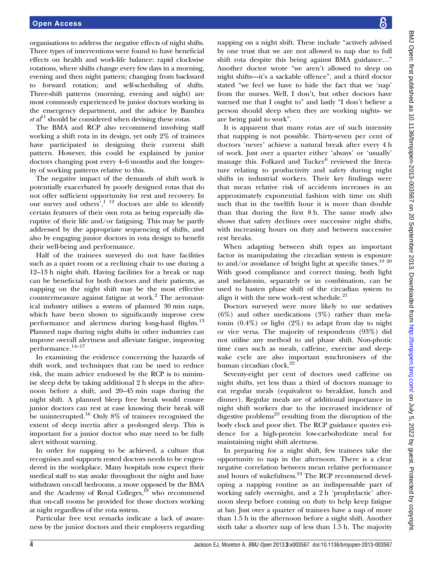organisations to address the negative effects of night shifts. Three types of interventions were found to have beneficial effects on health and work-life balance: rapid clockwise rotations, where shifts change every few days in a morning, evening and then night pattern; changing from backward to forward rotation; and self-scheduling of shifts. Three-shift patterns (morning, evening and night) are most commonly experienced by junior doctors working in the emergency department, and the advice by Bambra  $et al<sup>11</sup>$  should be considered when devising these rotas.

The BMA and RCP also recommend involving staff working a shift rota in its design, yet only 2% of trainees have participated in designing their current shift pattern. However, this could be explained by junior doctors changing post every 4–6 months and the longevity of working patterns relative to this.

The negative impact of the demands of shift work is potentially exacerbated by poorly designed rotas that do not offer sufficient opportunity for rest and recovery. In our survey and others',<sup>1 12</sup> doctors are able to identify certain features of their own rota as being especially disruptive of their life and/or fatiguing. This may be partly addressed by the appropriate sequencing of shifts, and also by engaging junior doctors in rota design to benefit their well-being and performance.

Half of the trainees surveyed do not have facilities such as a quiet room or a reclining chair to use during a 12–13 h night shift. Having facilities for a break or nap can be beneficial for both doctors and their patients, as napping on the night shift may be the most effective countermeasure against fatigue at work.<sup>2</sup> The aeronautical industry utilises a system of planned 30 min naps, which have been shown to significantly improve crew performance and alertness during long-haul flights.<sup>13</sup> Planned naps during night shifts in other industries can improve overall alertness and alleviate fatigue, improving performance.14–<sup>17</sup>

In examining the evidence concerning the hazards of shift work, and techniques that can be used to reduce risk, the main advice endorsed by the RCP is to minimise sleep debt by taking additional 2 h sleeps in the afternoon before a shift, and 20–45 min naps during the night shift. A planned bleep free break would ensure junior doctors can rest at ease knowing their break will be uninterrupted.<sup>16</sup> Only  $8\%$  of trainees recognised the extent of sleep inertia after a prolonged sleep. This is important for a junior doctor who may need to be fully alert without warning.

In order for napping to be achieved, a culture that recognises and supports rested doctors needs to be engendered in the workplace. Many hospitals now expect their medical staff to stay awake throughout the night and have withdrawn on-call bedrooms, a move opposed by the BMA and the Academy of Royal Colleges, $^{18}$  who recommend that on-call rooms be provided for those doctors working at night regardless of the rota system.

Particular free text remarks indicate a lack of awareness by the junior doctors and their employers regarding

napping on a night shift. These include "actively advised by one trust that we are not allowed to nap due to full shift rota despite this being against BMA guidance…" Another doctor wrote "we aren't allowed to sleep on night shifts—it's a sackable offence", and a third doctor stated "we feel we have to hide the fact that we 'nap' from the nurses. Well, I don't, but other doctors have warned me that I ought to" and lastly "I don't believe a person should sleep when they are working nights- we are being paid to work".

It is apparent that many rotas are of such intensity that napping is not possible. Thirty-seven per cent of doctors 'never' achieve a natural break after every 4 h of work. Just over a quarter either 'always' or 'usually' manage this. Folkard and Tucker $<sup>6</sup>$  reviewed the litera-</sup> ture relating to productivity and safety during night shifts in industrial workers. Their key findings were that mean relative risk of accidents increases in an approximately exponential fashion with time on shift such that in the twelfth hour it is more than double than that during the first 8 h. The same study also shows that safety declines over successive night shifts, with increasing hours on duty and between successive rest breaks.

When adapting between shift types an important factor in manipulating the circadian system is exposure to and/or avoidance of bright light at specific times.<sup>19 20</sup> With good compliance and correct timing, both light and melatonin, separately or in combination, can be used to hasten phase shift of the circadian system to align it with the new work–rest schedule. $21$ 

Doctors surveyed were more likely to use sedatives (6%) and other medications (3%) rather than melatonin  $(0.4\%)$  or light  $(2\%)$  to adapt from day to night or vice versa. The majority of respondents (93%) did not utilise any method to aid phase shift. Non-photic time cues such as meals, caffeine, exercise and sleepwake cycle are also important synchronisers of the human circadian clock.<sup>22</sup>

Seventy-eight per cent of doctors used caffeine on night shifts, yet less than a third of doctors manage to eat regular meals (equivalent to breakfast, lunch and dinner). Regular meals are of additional importance in night shift workers due to the increased incidence of digestive problems<sup>23</sup> resulting from the disruption of the body clock and poor diet. The RCP guidance quotes evidence for a high-protein low-carbohydrate meal for maintaining night shift alertness.

In preparing for a night shift, few trainees take the opportunity to nap in the afternoon. There is a clear negative correlation between mean relative performance and hours of wakefulness.<sup>24</sup> The RCP recommend developing a napping routine as an indispensable part of working safely overnight, and a 2 h 'prophylactic' afternoon sleep before coming on duty to help keep fatigue at bay. Just over a quarter of trainees have a nap of more than 1.5 h in the afternoon before a night shift. Another sixth take a shorter nap of less than 1.5 h. The majority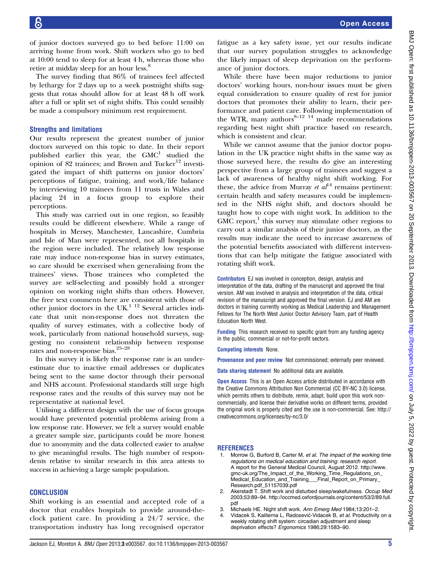of junior doctors surveyed go to bed before 11:00 on arriving home from work. Shift workers who go to bed at 10:00 tend to sleep for at least 4 h, whereas those who retire at midday sleep for an hour less.<sup>8</sup>

The survey finding that 86% of trainees feel affected by lethargy for 2 days up to a week postnight shifts suggests that rotas should allow for at least 48 h off work after a full or split set of night shifts. This could sensibly be made a compulsory minimum rest requirement.

#### Strengths and limitations

Our results represent the greatest number of junior doctors surveyed on this topic to date. In their report published earlier this year, the  $GMC<sup>1</sup>$  studied the opinion of 82 trainees; and Brown and Tucker $12$  investigated the impact of shift patterns on junior doctors' perceptions of fatigue, training, and work/life balance by interviewing 10 trainees from 11 trusts in Wales and placing 24 in a focus group to explore their perceptions.

This study was carried out in one region, so feasibly results could be different elsewhere. While a range of hospitals in Mersey, Manchester, Lancashire, Cumbria and Isle of Man were represented, not all hospitals in the region were included. The relatively low response rate may induce non-response bias in survey estimates, so care should be exercised when generalising from the trainees' views. Those trainees who completed the survey are self-selecting and possibly hold a stronger opinion on working night shifts than others. However, the free text comments here are consistent with those of other junior doctors in the UK. $^{1}$  12 Several articles indicate that unit non-response does not threaten the quality of survey estimates, with a collective body of work, particularly from national household surveys, suggesting no consistent relationship between response rates and non-response bias.25–<sup>28</sup>

In this survey it is likely the response rate is an underestimate due to inactive email addresses or duplicates being sent to the same doctor through their personal and NHS account. Professional standards still urge high response rates and the results of this survey may not be representative at national level.

Utilising a different design with the use of focus groups would have prevented potential problems arising from a low response rate. However, we felt a survey would enable a greater sample size, participants could be more honest due to anonymity and the data collected easier to analyse to give meaningful results. The high number of respondents relative to similar research in this area attests to success in achieving a large sample population.

## **CONCLUSION**

Shift working is an essential and accepted role of a doctor that enables hospitals to provide around-theclock patient care. In providing a 24/7 service, the transportation industry has long recognised operator

fatigue as a key safety issue, yet our results indicate that our survey population struggles to acknowledge the likely impact of sleep deprivation on the performance of junior doctors.

While there have been major reductions to junior doctors' working hours, non-hour issues must be given equal consideration to ensure quality of rest for junior doctors that promotes their ability to learn, their performance and patient care. Following implementation of the WTR, many authors $8-12$  <sup>14</sup> made recommendations regarding best night shift practice based on research, which is consistent and clear.

While we cannot assume that the junior doctor population in the UK practice night shifts in the same way as those surveyed here, the results do give an interesting perspective from a large group of trainees and suggest a lack of awareness of healthy night shift working. For these, the advice from Murray et  $al<sup>14</sup>$  remains pertinent: certain health and safety measures could be implemented in the NHS night shift, and doctors should be taught how to cope with night work. In addition to the  $GMC$  report, $\frac{1}{1}$  this survey may stimulate other regions to carry out a similar analysis of their junior doctors, as the results may indicate the need to increase awareness of the potential benefits associated with different interventions that can help mitigate the fatigue associated with rotating shift work.

Contributors EJ was involved in conception, design, analysis and interpretation of the data, drafting of the manuscript and approved the final version. AM was involved in analysis and interpretation of the data, critical revision of the manuscript and approved the final version. EJ and AM are doctors in training currently working as Medical Leadership and Management Fellows for The North West Junior Doctor Advisory Team, part of Health Education North West.

Funding This research received no specific grant from any funding agency in the public, commercial or not-for-profit sectors.

Competing interests None.

Provenance and peer review Not commissioned; externally peer reviewed.

Data sharing statement No additional data are available.

**Open Access** This is an Open Access article distributed in accordance with the Creative Commons Attribution Non Commercial (CC BY-NC 3.0) license, which permits others to distribute, remix, adapt, build upon this work noncommercially, and license their derivative works on different terms, provided the original work is properly cited and the use is non-commercial. See: [http://](http://creativecommons.org/licenses/by-nc/3.0/) [creativecommons.org/licenses/by-nc/3.0/](http://creativecommons.org/licenses/by-nc/3.0/)

#### **REFERENCES**

- Morrow G, Burford B, Carter M, et al. The impact of the working time regulations on medical education and training: research report. A report for the General Medical Council, August 2012. [http://www.](http://www.gmc-uk.org/The_Impact_of_the_Working_Time_Regulations_on_Medical_Education_and_Training___Final_Report_on_Primary_Research.pdf_51157039.pdf) [gmc-uk.org/The\\_Impact\\_of\\_the\\_Working\\_Time\\_Regulations\\_on\\_](http://www.gmc-uk.org/The_Impact_of_the_Working_Time_Regulations_on_Medical_Education_and_Training___Final_Report_on_Primary_Research.pdf_51157039.pdf) [Medical\\_Education\\_and\\_Training\\_\\_\\_Final\\_Report\\_on\\_Primary\\_](http://www.gmc-uk.org/The_Impact_of_the_Working_Time_Regulations_on_Medical_Education_and_Training___Final_Report_on_Primary_Research.pdf_51157039.pdf) [Research.pdf\\_51157039.pdf](http://www.gmc-uk.org/The_Impact_of_the_Working_Time_Regulations_on_Medical_Education_and_Training___Final_Report_on_Primary_Research.pdf_51157039.pdf)
- 2. Akerstadt T. Shift work and disturbed sleep/wakefulness. Occup Med 2003;53:89–94. [http://occmed.oxfordjournals.org/content/53/2/89.full.](http://occmed.oxfordjournals.org/content/53/2/89.full.pdf) [pdf](http://occmed.oxfordjournals.org/content/53/2/89.full.pdf)
- 3. Michaels HE. Night shift work. Ann Emerg Med 1984;13:201–2.
- 4. Vidacek S, Kaliterna L, Radosević-Vidacek B, et al. Productivity on a weekly rotating shift system: circadian adjustment and sleep deprivation effects? Ergonomics 1986;29:1583–90.